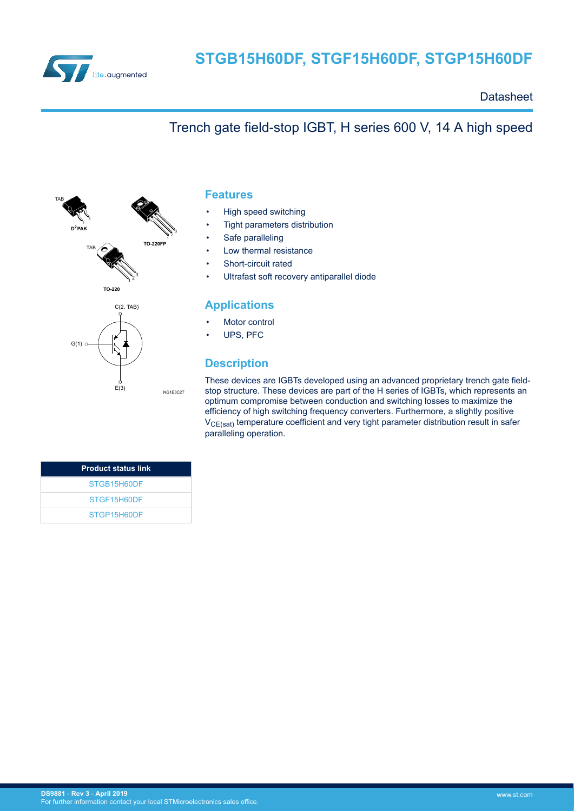

**Datasheet** 

## Trench gate field-stop IGBT, H series 600 V, 14 A high speed



### **Features**

- High speed switching
- Tight parameters distribution
- Safe paralleling
- Low thermal resistance
- Short-circuit rated
- Ultrafast soft recovery antiparallel diode

#### **Applications**

- Motor control
- UPS, PFC

### **Description**

These devices are IGBTs developed using an advanced proprietary trench gate fieldstop structure. These devices are part of the H series of IGBTs, which represents an optimum compromise between conduction and switching losses to maximize the efficiency of high switching frequency converters. Furthermore, a slightly positive  $V_{CE(sat)}$  temperature coefficient and very tight parameter distribution result in safer paralleling operation.

| <b>Product status link</b> |
|----------------------------|
| STGB15H60DF                |
| STGF15H60DF                |
| STGP15H60DF                |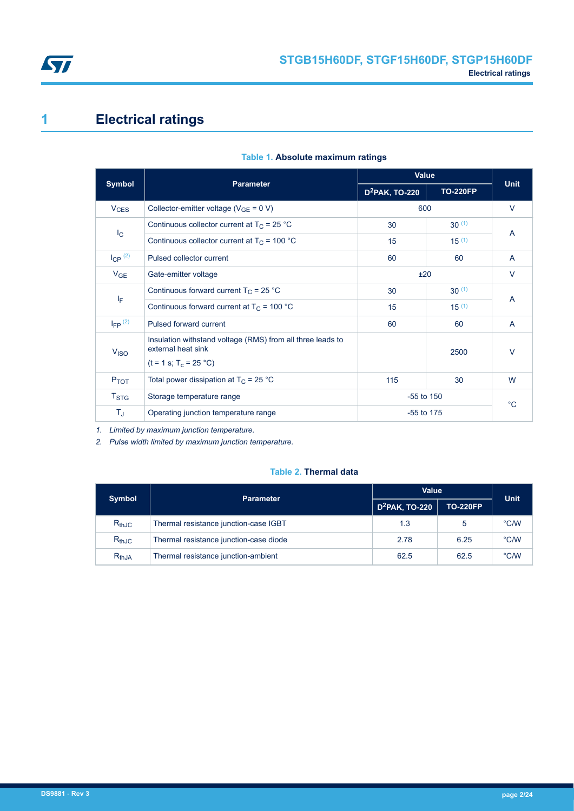<span id="page-1-0"></span>

# **1 Electrical ratings**

|                        |                                                                                                              | <b>Value</b>               |                 |              |
|------------------------|--------------------------------------------------------------------------------------------------------------|----------------------------|-----------------|--------------|
| <b>Symbol</b>          | <b>Parameter</b>                                                                                             | D <sup>2</sup> PAK, TO-220 | <b>TO-220FP</b> | <b>Unit</b>  |
| <b>V<sub>CES</sub></b> | Collector-emitter voltage ( $V_{GE}$ = 0 V)                                                                  | 600                        |                 | $\vee$       |
|                        | Continuous collector current at $T_C = 25 °C$                                                                | 30                         | $30^{(1)}$      | A            |
| $I_{\rm C}$            | Continuous collector current at $T_C = 100 °C$                                                               | 15                         | $15^{(1)}$      |              |
| $I_{CP}$ (2)           | Pulsed collector current                                                                                     | 60                         | 60              | $\mathsf{A}$ |
| $V_{GE}$               | Gate-emitter voltage                                                                                         | ±20                        |                 | $\vee$       |
|                        | Continuous forward current $T_C = 25$ °C                                                                     | 30                         | $30^{(1)}$      |              |
| ΙF                     | Continuous forward current at $T_C = 100 °C$                                                                 | 15                         | $15^{(1)}$      | A            |
| $I_{FP}$ (2)           | Pulsed forward current                                                                                       | 60                         | 60              | A            |
| V <sub>ISO</sub>       | Insulation withstand voltage (RMS) from all three leads to<br>external heat sink<br>$(t = 1 s; T_c = 25 °C)$ |                            | 2500            | $\vee$       |
| P <sub>TOT</sub>       | Total power dissipation at $T_C = 25 °C$                                                                     | 115                        | 30              | W            |
| T <sub>STG</sub>       | $-55$ to 150<br>Storage temperature range                                                                    |                            |                 | $^{\circ}C$  |
| T,                     | Operating junction temperature range                                                                         | $-55$ to 175               |                 |              |

#### **Table 1. Absolute maximum ratings**

*1. Limited by maximum junction temperature.*

*2. Pulse width limited by maximum junction temperature.*

### **Table 2. Thermal data**

| <b>Symbol</b> | <b>Parameter</b>                       | <b>Value</b>               | <b>Unit</b>     |      |
|---------------|----------------------------------------|----------------------------|-----------------|------|
|               |                                        | D <sup>2</sup> PAK, TO-220 | <b>TO-220FP</b> |      |
| $R_{th,JC}$   | Thermal resistance junction-case IGBT  | 1.3                        | 5               | °C/W |
| $R_{th,IC}$   | Thermal resistance junction-case diode | 2.78                       | 6.25            | °C/W |
| $R_{th,JA}$   | Thermal resistance junction-ambient    | 62.5                       | 62.5            | °C/W |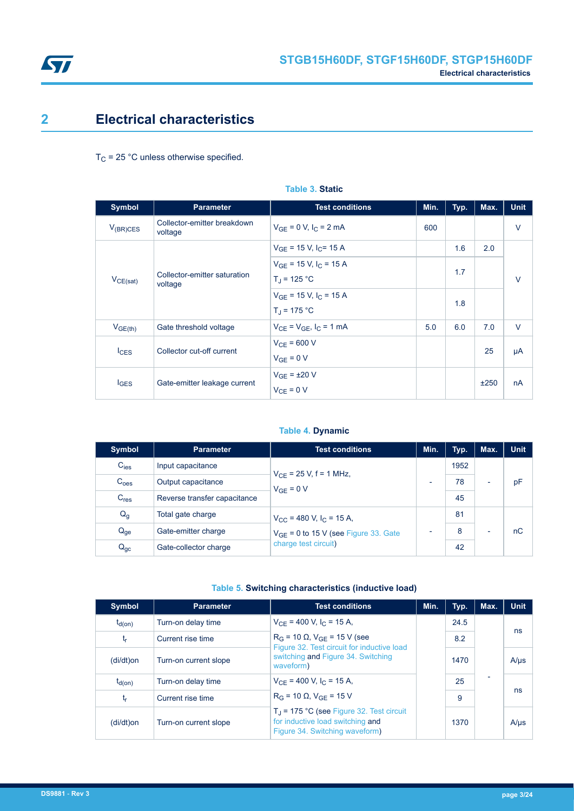<span id="page-2-0"></span>

## **2 Electrical characteristics**

 $T_C$  = 25 °C unless otherwise specified.

| <b>Symbol</b> | <b>Parameter</b>                        | <b>Test conditions</b>                                         | Min. | Typ. | Max. | <b>Unit</b> |
|---------------|-----------------------------------------|----------------------------------------------------------------|------|------|------|-------------|
| $V_{(BR)CES}$ | Collector-emitter breakdown<br>voltage  | $V_{GE} = 0 V, I_C = 2 mA$                                     | 600  |      |      | $\vee$      |
|               |                                         | $V_{GE}$ = 15 V, I <sub>C</sub> = 15 A                         |      | 1.6  | 2.0  |             |
| $V_{CE(sat)}$ | Collector-emitter saturation<br>voltage | $V_{GF}$ = 15 V, I <sub>C</sub> = 15 A<br>$T_{\rm J}$ = 125 °C |      | 1.7  |      | $\vee$      |
|               |                                         | $V_{GE}$ = 15 V, $I_C$ = 15 A<br>$T_{\rm J}$ = 175 °C          |      | 1.8  |      |             |
| $V_{GE(th)}$  | Gate threshold voltage                  | $V_{CF} = V_{GF}$ , $I_C = 1$ mA                               | 5.0  | 6.0  | 7.0  | $\vee$      |
| $I_{CES}$     | Collector cut-off current               | $V_{CF}$ = 600 V<br>$V_{GE} = 0 V$                             |      |      | 25   | μA          |
| <b>I</b> GES  | Gate-emitter leakage current            | $V_{GE}$ = ±20 V<br>$V_{CE} = 0 V$                             |      |      | ±250 | nA          |

#### **Table 3. Static**

#### **Table 4. Dynamic**

| Symbol           | <b>Parameter</b>             | <b>Test conditions</b>                        |  | Typ. | Max.                     | <b>Unit</b> |    |                          |    |
|------------------|------------------------------|-----------------------------------------------|--|------|--------------------------|-------------|----|--------------------------|----|
| $C_{\text{ies}}$ | Input capacitance            | $V_{CF}$ = 25 V, f = 1 MHz,<br>$V_{GF} = 0 V$ |  | 1952 |                          |             |    |                          |    |
| C <sub>oes</sub> | Output capacitance           |                                               |  |      | $\overline{\phantom{0}}$ |             | 78 | $\overline{\phantom{0}}$ | pF |
| C <sub>res</sub> | Reverse transfer capacitance |                                               |  | 45   |                          |             |    |                          |    |
| $Q_g$            | Total gate charge            | $V_{\rm CC}$ = 480 V, I <sub>C</sub> = 15 A,  |  | 81   |                          |             |    |                          |    |
| $Q_{ge}$         | Gate-emitter charge          | $V_{GF}$ = 0 to 15 V (see Figure 33. Gate     |  | 8    | $\overline{\phantom{0}}$ | nC          |    |                          |    |
| $Q_{gc}$         | Gate-collector charge        | charge test circuit)                          |  | 42   |                          |             |    |                          |    |

#### **Table 5. Switching characteristics (inductive load)**

| Symbol      | <b>Parameter</b>      | <b>Test conditions</b>                                                                                                  | Min. | Typ. | Max.                     | <b>Unit</b> |
|-------------|-----------------------|-------------------------------------------------------------------------------------------------------------------------|------|------|--------------------------|-------------|
| $t_{d(on)}$ | Turn-on delay time    | $V_{CF}$ = 400 V, I <sub>C</sub> = 15 A,                                                                                |      | 24.5 |                          |             |
| t,          | Current rise time     | $R_G$ = 10 $\Omega$ , $V_{GF}$ = 15 V (see                                                                              |      | 8.2  |                          | ns          |
| (di/dt)on   | Turn-on current slope | Figure 32. Test circuit for inductive load<br>switching and Figure 34. Switching<br>waveform)                           |      | 1470 |                          | $A/\mu s$   |
| $t_{d(on)}$ | Turn-on delay time    | $V_{\text{CE}}$ = 400 V, I <sub>C</sub> = 15 A,                                                                         |      | 25   | $\overline{\phantom{0}}$ |             |
| $t_{\sf r}$ | Current rise time     | $R_G = 10 \Omega$ , $V_{GF} = 15 V$                                                                                     |      | 9    |                          | ns          |
| (di/dt)on   | Turn-on current slope | $T_{\rm J}$ = 175 °C (see Figure 32. Test circuit<br>for inductive load switching and<br>Figure 34. Switching waveform) |      | 1370 |                          | $A/\mu s$   |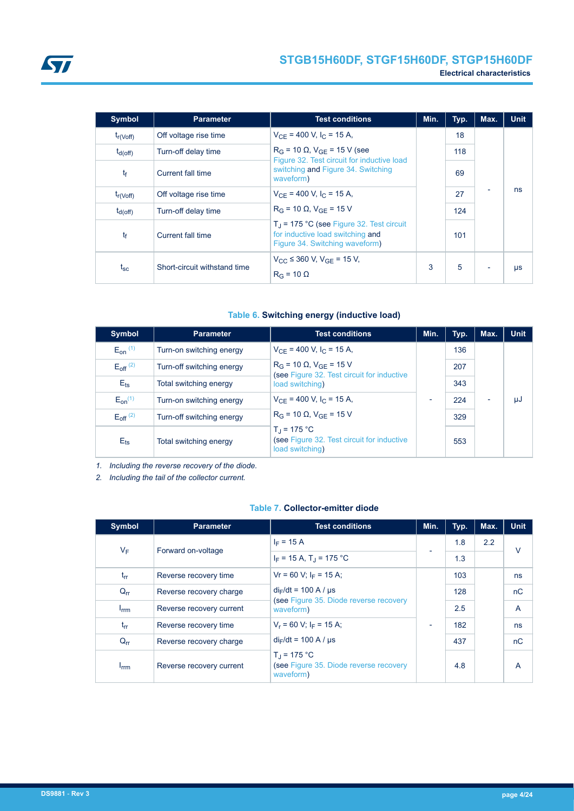| <b>Symbol</b>  | <b>Parameter</b>             | <b>Test conditions</b>                                                                                                  | Min. | Typ. | Max.                     | <b>Unit</b> |
|----------------|------------------------------|-------------------------------------------------------------------------------------------------------------------------|------|------|--------------------------|-------------|
| $t_{r(Voff)}$  | Off voltage rise time        | $V_{CF}$ = 400 V, I <sub>C</sub> = 15 A,                                                                                |      | 18   |                          |             |
| $t_{d(off)}$   | Turn-off delay time          | $R_G$ = 10 $\Omega$ , $V_{GF}$ = 15 V (see                                                                              |      | 118  |                          |             |
| t <sub>f</sub> | Current fall time            | Figure 32. Test circuit for inductive load<br>switching and Figure 34. Switching<br>waveform)                           |      | 69   |                          |             |
| $t_{r(Voff)}$  | Off voltage rise time        | $V_{CF}$ = 400 V, I <sub>C</sub> = 15 A,                                                                                |      | 27   |                          | ns          |
| $t_{d(Off)}$   | Turn-off delay time          | $R_G = 10 \Omega$ , $V_{GF} = 15 V$                                                                                     |      | 124  |                          |             |
| tf             | Current fall time            | $T_{\rm J}$ = 175 °C (see Figure 32. Test circuit<br>for inductive load switching and<br>Figure 34. Switching waveform) |      | 101  |                          |             |
| $t_{\rm sc}$   | Short-circuit withstand time | $V_{CC} \leq 360$ V, $V_{GF} = 15$ V,<br>$R_G = 10 \Omega$                                                              | 3    | 5    | $\overline{\phantom{0}}$ | μs          |

#### **Table 6. Switching energy (inductive load)**

| Symbol                 | <b>Parameter</b>          | <b>Test conditions</b>                                                                | Min.                     | Typ. | Max. | <b>Unit</b> |
|------------------------|---------------------------|---------------------------------------------------------------------------------------|--------------------------|------|------|-------------|
| $E_{on}$ $(1)$         | Turn-on switching energy  | $V_{CF}$ = 400 V, I <sub>C</sub> = 15 A,                                              |                          | 136  |      |             |
| $E_{\text{off}}^{(2)}$ | Turn-off switching energy | $R_G$ = 10 $\Omega$ , $V_{GE}$ = 15 V                                                 |                          | 207  |      |             |
| $E_{\text{ts}}$        | Total switching energy    | (see Figure 32. Test circuit for inductive<br>load switching)                         |                          | 343  |      |             |
| $E_{on}^{(1)}$         | Turn-on switching energy  | $V_{CF}$ = 400 V, I <sub>C</sub> = 15 A,                                              | $\overline{\phantom{a}}$ | 224  | -    | μJ          |
| $E_{\text{off}}^{(2)}$ | Turn-off switching energy | $R_G$ = 10 $\Omega$ , $V_{GF}$ = 15 V                                                 |                          | 329  |      |             |
| $E_{\text{ts}}$        | Total switching energy    | $T_{\rm d}$ = 175 °C<br>(see Figure 32. Test circuit for inductive<br>load switching) |                          | 553  |      |             |

*1. Including the reverse recovery of the diode.*

*2. Including the tail of the collector current.*

#### **Table 7. Collector-emitter diode**

| <b>Symbol</b>          | <b>Parameter</b>         | <b>Test conditions</b>                                                  | Min.                     | Typ. | Max.          | <b>Unit</b> |
|------------------------|--------------------------|-------------------------------------------------------------------------|--------------------------|------|---------------|-------------|
| $V_F$                  |                          | $I_F = 15 A$                                                            |                          | 1.8  | $2.2^{\circ}$ | $\vee$      |
|                        | Forward on-voltage       | $I_F = 15 A$ , T <sub>J</sub> = 175 °C                                  |                          | 1.3  |               |             |
| $t_{rr}$               | Reverse recovery time    | $Vr = 60$ V; $I_F = 15$ A;                                              |                          | 103  |               | ns          |
| $Q_{rr}$               | Reverse recovery charge  | $di_F/dt = 100$ A / $\mu s$                                             |                          | 128  |               | nC          |
| <b>I</b> <sub>rm</sub> | Reverse recovery current | (see Figure 35. Diode reverse recovery<br>waveform)                     |                          | 2.5  |               | A           |
| $t_{rr}$               | Reverse recovery time    | $V_r = 60$ V; $I_F = 15$ A;                                             | $\overline{\phantom{0}}$ | 182  |               | ns          |
| $Q_{rr}$               | Reverse recovery charge  | $di_F/dt = 100$ A / $\mu s$                                             |                          | 437  |               | nC          |
| <b>I</b> <sub>rm</sub> | Reverse recovery current | $T_{d}$ = 175 °C<br>(see Figure 35. Diode reverse recovery<br>waveform) |                          | 4.8  |               | A           |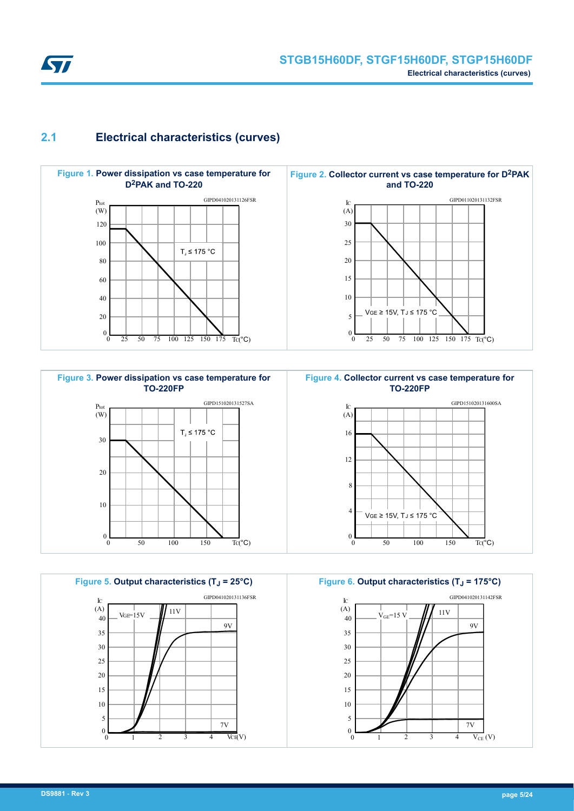<span id="page-4-0"></span>

### **2.1 Electrical characteristics (curves)**















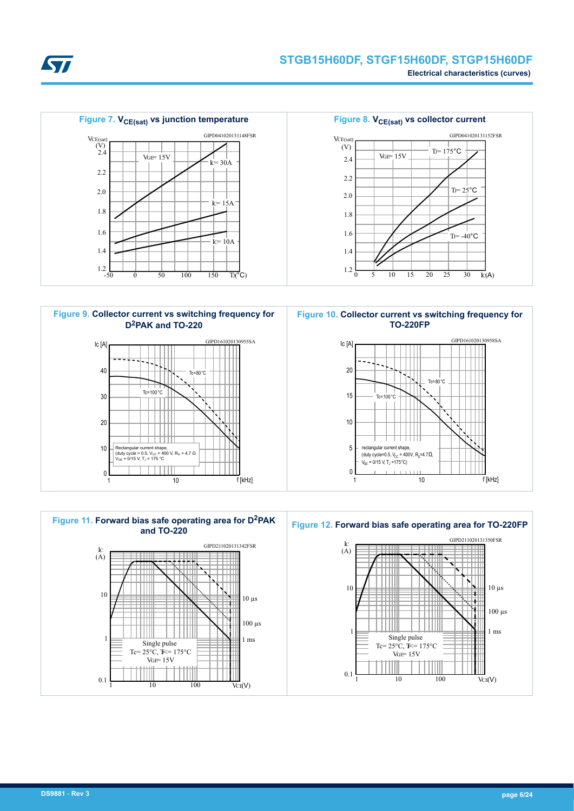











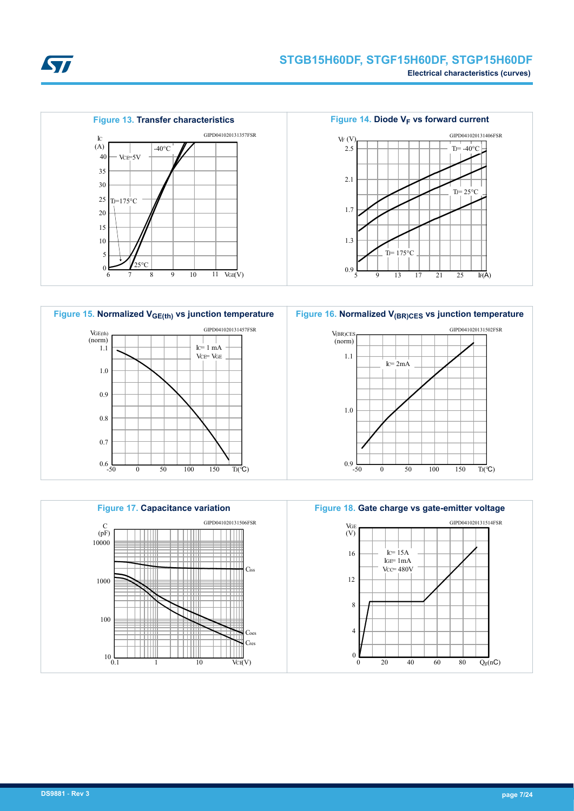

Figure 14. Diode V<sub>F</sub> vs forward current

 $T = -40$ °C GIPD041020131406FSR





VF (V)

2.5





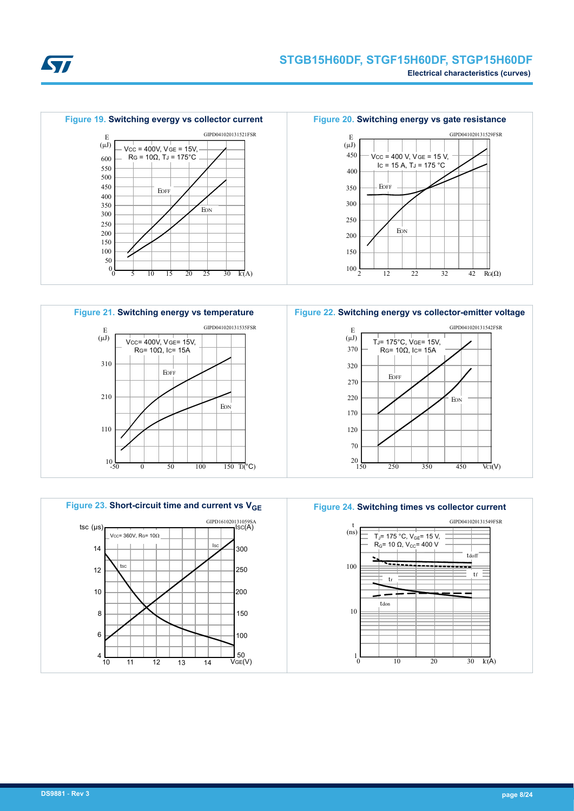





20 150 250 350 70 120 170 EOFF RG=  $10Ω$ , IC= 15A 220 270 320 370





**Figure 22. Switching energy vs collector-emitter voltage**

 $T = 175^{\circ}$ C, VGE= 15V

E

 $(\mu J)$ 

 $RG(\Omega)$ 

GIPD041020131542FSR

 $\overline{\text{VCH}}(V)$ 

450

**EON** 

32 42



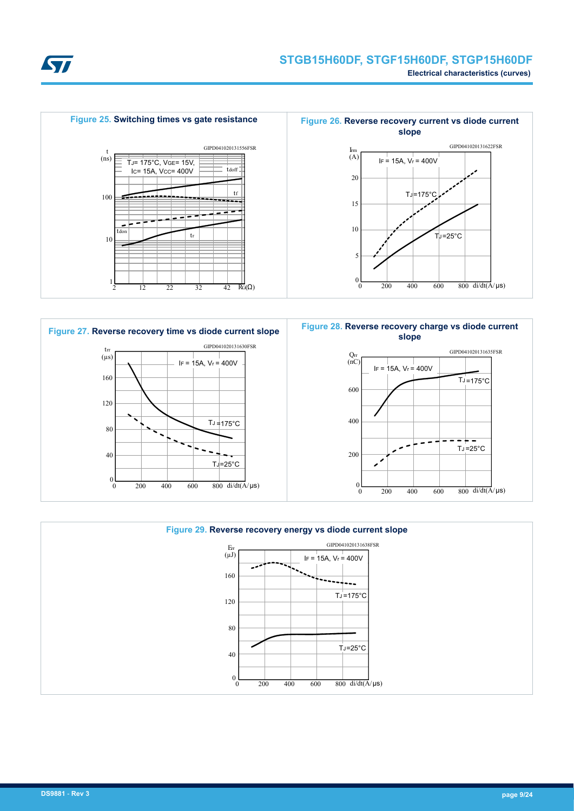





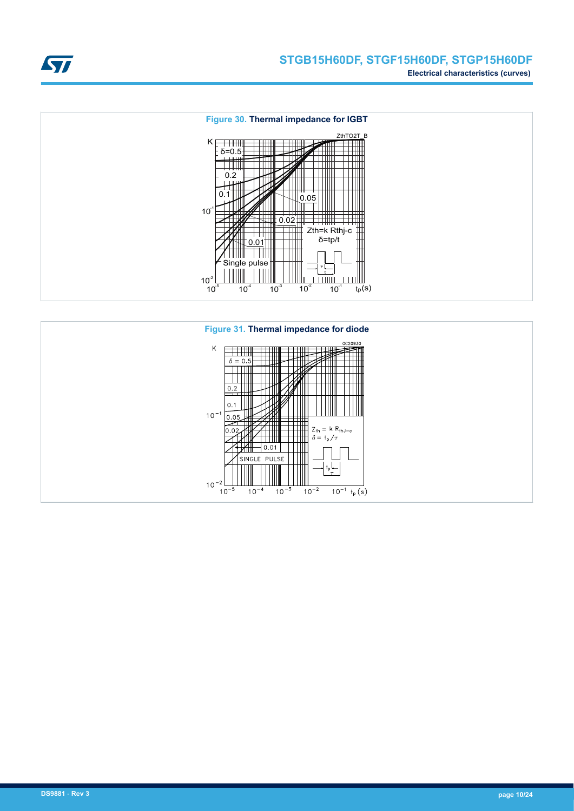





ST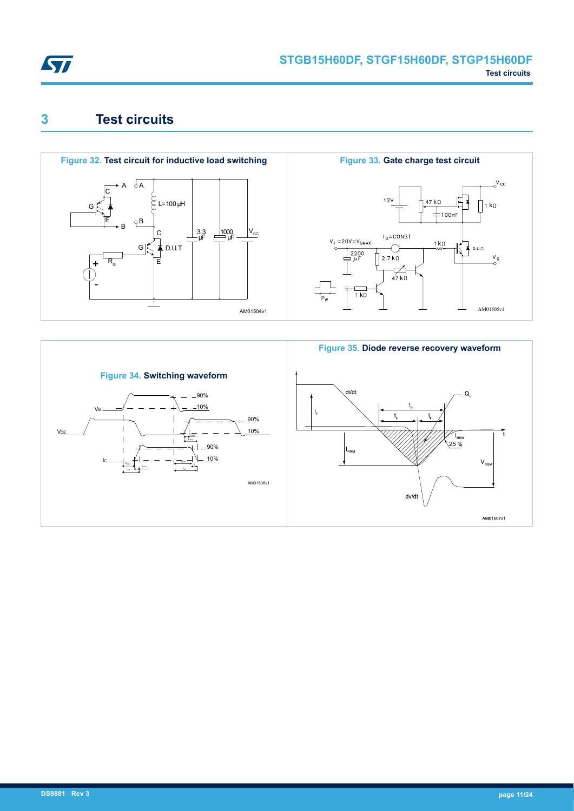<span id="page-10-0"></span>

## **3 Test circuits**



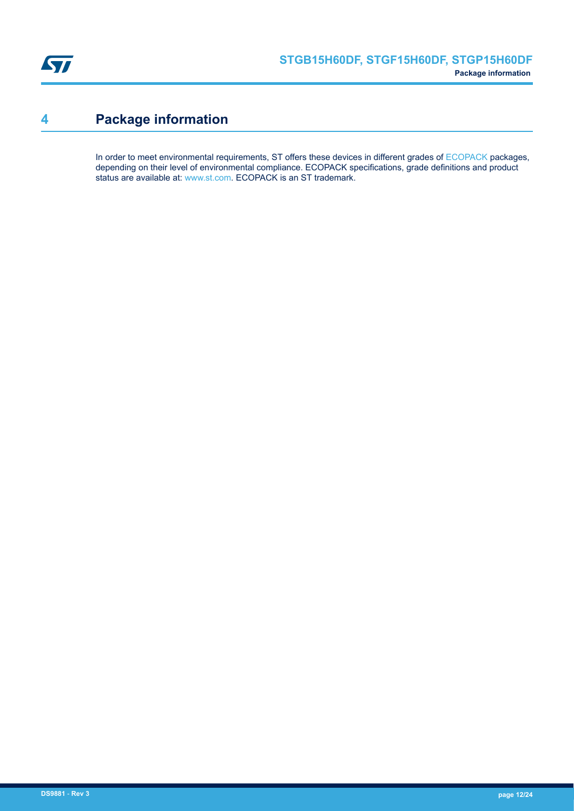<span id="page-11-0"></span>

## **4 Package information**

In order to meet environmental requirements, ST offers these devices in different grades of [ECOPACK](https://www.st.com/ecopack) packages, depending on their level of environmental compliance. ECOPACK specifications, grade definitions and product status are available at: [www.st.com.](http://www.st.com) ECOPACK is an ST trademark.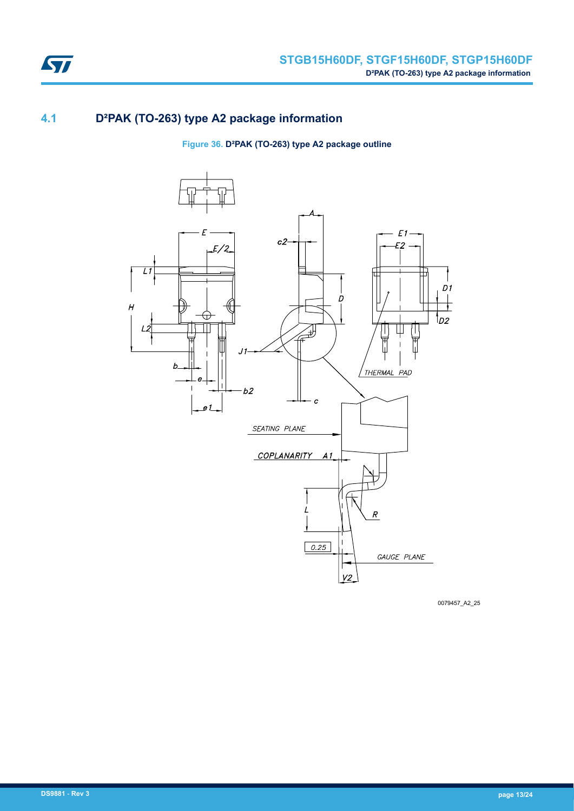

### **4.1 D²PAK (TO-263) type A2 package information**

**Figure 36. D²PAK (TO-263) type A2 package outline**



0079457\_A2\_25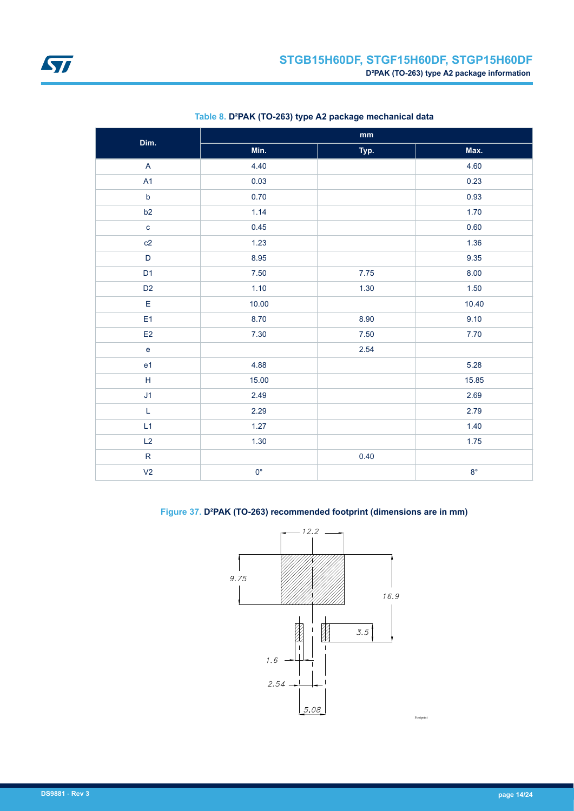<span id="page-13-0"></span>

| Dim.                              | $\mathop{\text{mm}}\nolimits$ |      |             |  |  |  |
|-----------------------------------|-------------------------------|------|-------------|--|--|--|
|                                   | Min.                          | Typ. | Max.        |  |  |  |
| $\boldsymbol{\mathsf{A}}$         | 4.40                          |      | 4.60        |  |  |  |
| A1                                | 0.03                          |      | 0.23        |  |  |  |
| $\mathsf b$                       | 0.70                          |      | 0.93        |  |  |  |
| b2                                | 1.14                          |      | 1.70        |  |  |  |
| $\mathbf{C}$                      | 0.45                          |      | 0.60        |  |  |  |
| c2                                | 1.23                          |      | 1.36        |  |  |  |
| $\mathsf D$                       | 8.95                          |      | 9.35        |  |  |  |
| D <sub>1</sub>                    | 7.50                          | 7.75 | 8.00        |  |  |  |
| D <sub>2</sub>                    | 1.10                          | 1.30 | 1.50        |  |  |  |
| E                                 | 10.00                         |      | 10.40       |  |  |  |
| E <sub>1</sub>                    | 8.70                          | 8.90 | 9.10        |  |  |  |
| E2                                | 7.30                          | 7.50 | 7.70        |  |  |  |
| $\mathsf{e}% _{t}\left( t\right)$ |                               | 2.54 |             |  |  |  |
| e <sub>1</sub>                    | 4.88                          |      | 5.28        |  |  |  |
| $\mathsf H$                       | 15.00                         |      | 15.85       |  |  |  |
| J <sub>1</sub>                    | 2.49                          |      | 2.69        |  |  |  |
| L                                 | 2.29                          |      | 2.79        |  |  |  |
| L1                                | 1.27                          |      | 1.40        |  |  |  |
| L2                                | 1.30                          |      | 1.75        |  |  |  |
| $\mathsf R$                       |                               | 0.40 |             |  |  |  |
| V <sub>2</sub>                    | $0^{\circ}$                   |      | $8^{\circ}$ |  |  |  |

### **Table 8. D²PAK (TO-263) type A2 package mechanical data**

### **Figure 37. D²PAK (TO-263) recommended footprint (dimensions are in mm)**

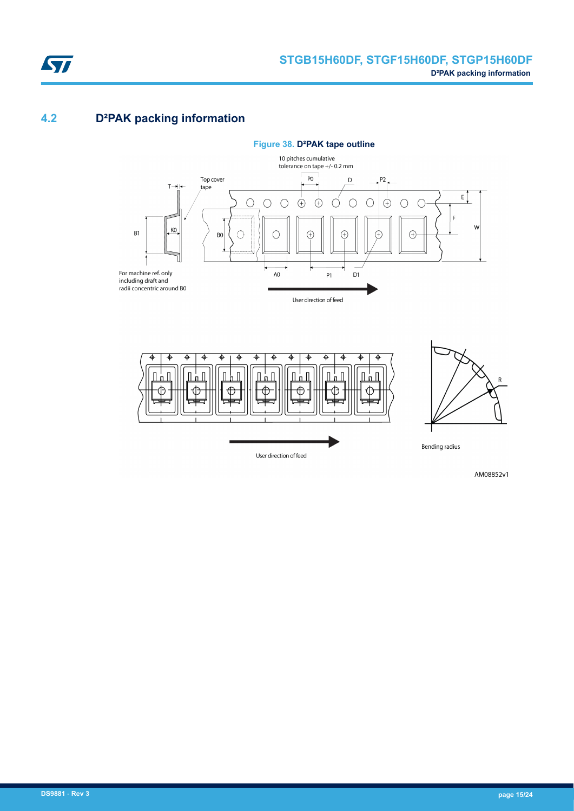

### **4.2 D²PAK packing information**





AM08852v1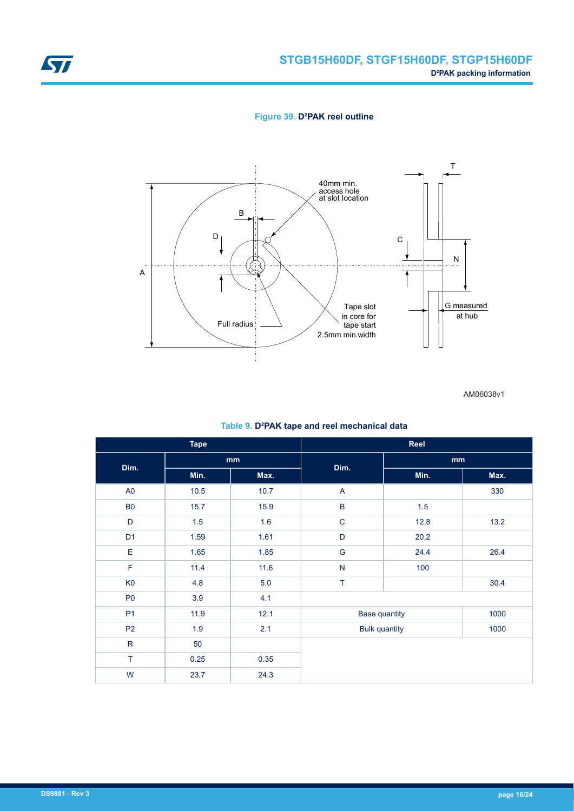<span id="page-15-0"></span>

**Figure 39. D²PAK reel outline**



AM06038v1

|  |  |  | Table 9. D <sup>2</sup> PAK tape and reel mechanical data |  |
|--|--|--|-----------------------------------------------------------|--|
|--|--|--|-----------------------------------------------------------|--|

| <b>Tape</b>    |      | Reel                       |                      |      |      |  |
|----------------|------|----------------------------|----------------------|------|------|--|
| Dim.           |      | $\mathop{\rm mm}\nolimits$ | Dim.                 | mm   |      |  |
|                | Min. | Max.                       |                      | Min. | Max. |  |
| A <sub>0</sub> | 10.5 | 10.7                       | A                    |      | 330  |  |
| <b>B0</b>      | 15.7 | 15.9                       | $\sf B$              | 1.5  |      |  |
| D              | 1.5  | 1.6                        | $\mathsf C$          | 12.8 | 13.2 |  |
| D <sub>1</sub> | 1.59 | 1.61                       | $\mathsf{D}%$        | 20.2 |      |  |
| E              | 1.65 | 1.85                       | G                    | 24.4 | 26.4 |  |
| F              | 11.4 | 11.6                       | ${\sf N}$            | 100  |      |  |
| K <sub>0</sub> | 4.8  | 5.0                        | T                    |      | 30.4 |  |
| P <sub>0</sub> | 3.9  | 4.1                        |                      |      |      |  |
| P <sub>1</sub> | 11.9 | 12.1                       | <b>Base quantity</b> |      | 1000 |  |
| P <sub>2</sub> | 1.9  | 2.1                        | <b>Bulk quantity</b> |      | 1000 |  |
| ${\sf R}$      | 50   |                            |                      |      |      |  |
| T              | 0.25 | 0.35                       |                      |      |      |  |
| W              | 23.7 | 24.3                       |                      |      |      |  |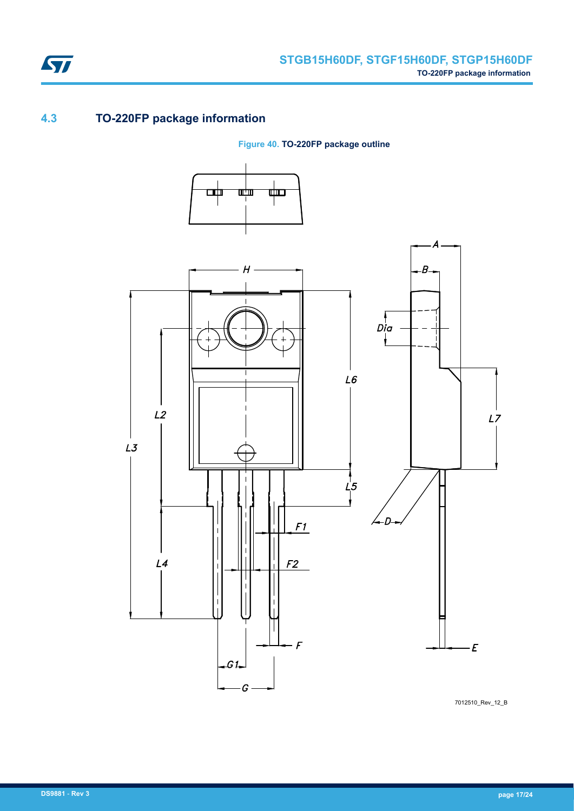

### **4.3 TO-220FP package information**

ST

**Figure 40. TO-220FP package outline**



7012510\_Rev\_12\_B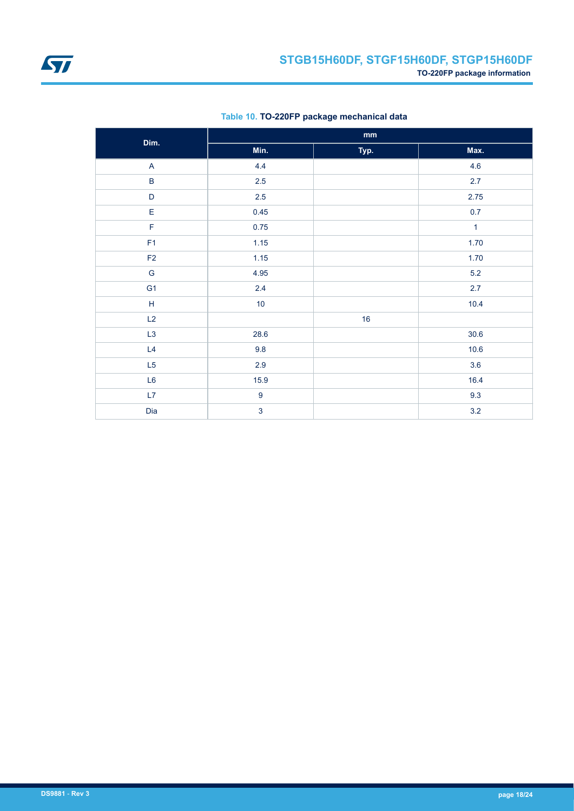<span id="page-17-0"></span>

| Dim.           | $\mathop{\bf mm}\nolimits$ |      |              |
|----------------|----------------------------|------|--------------|
|                | Min.                       | Typ. | Max.         |
| $\mathsf{A}$   | 4.4                        |      | 4.6          |
| $\sf B$        | 2.5<br>$2.5\,$<br>0.45     |      | 2.7          |
| $\mathsf D$    |                            |      | 2.75         |
| E              |                            |      | 0.7          |
| F              | 0.75                       |      | $\mathbf{1}$ |
| F1             | 1.15                       |      | 1.70         |
| F2             | 1.15                       |      | 1.70         |
| ${\mathsf G}$  | 4.95                       |      | $5.2\,$      |
| G <sub>1</sub> | 2.4                        |      | 2.7          |
| $\mathsf H$    | 10                         |      | 10.4         |
| L2             |                            | 16   |              |
| L3             | 28.6                       |      | $30.6$       |
| L4             | 9.8                        |      | 10.6         |
| L5             | 2.9                        |      | 3.6          |
| L6             | 15.9                       |      | 16.4         |
| L7             | $\boldsymbol{9}$           |      | 9.3          |
| Dia            | $\mathbf{3}$               |      | 3.2          |

### **Table 10. TO-220FP package mechanical data**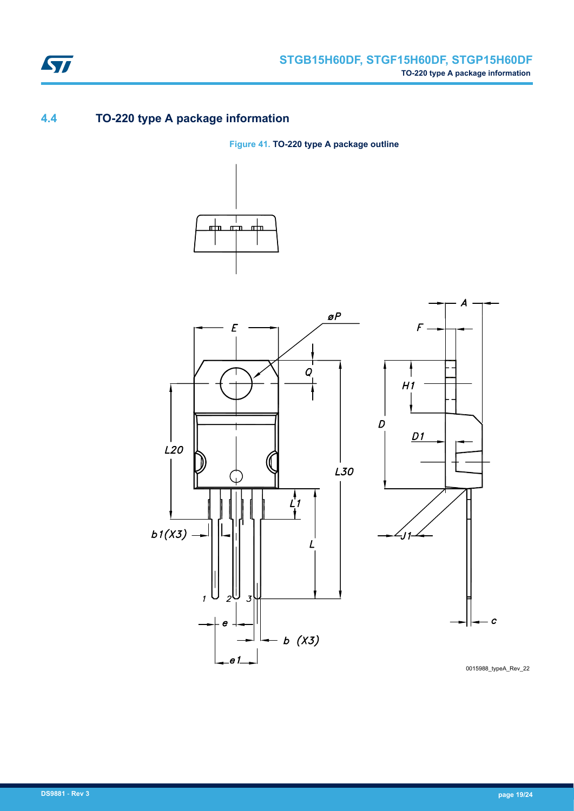

### **4.4 TO-220 type A package information**

**Figure 41. TO-220 type A package outline**





0015988\_typeA\_Rev\_22

 $\overline{c}$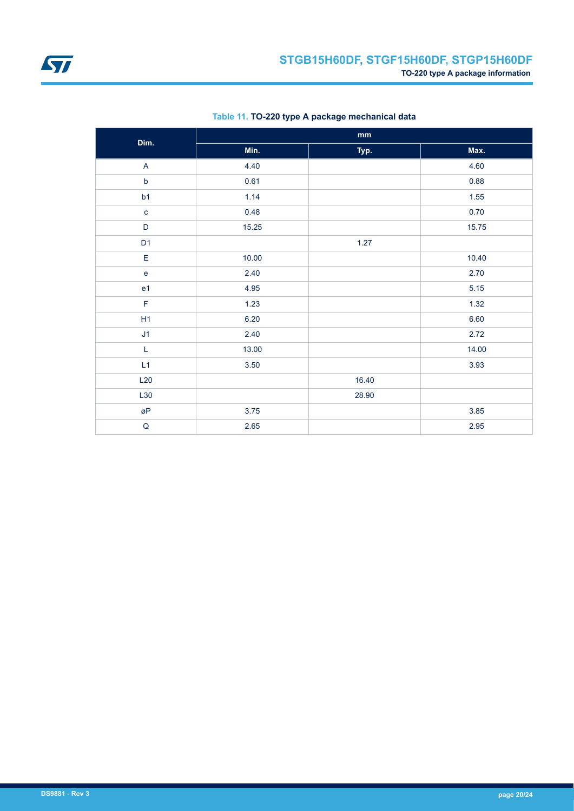

| Dim.                              | $\mathbf{mm}$ |       |       |
|-----------------------------------|---------------|-------|-------|
|                                   | Min.          | Typ.  | Max.  |
| $\overline{\mathsf{A}}$           | 4.40          |       | 4.60  |
| $\mathsf b$                       | 0.61          |       | 0.88  |
| b1                                | 1.14          |       | 1.55  |
| $\mathbf c$                       | 0.48          |       | 0.70  |
| $\mathsf D$                       | 15.25         |       | 15.75 |
| D <sub>1</sub>                    |               | 1.27  |       |
| $\mathsf E$                       | 10.00         |       | 10.40 |
| $\mathsf{e}% _{t}\left( t\right)$ | 2.40          |       | 2.70  |
| e <sub>1</sub>                    | 4.95          |       | 5.15  |
| $\mathsf F$                       | 1.23          |       | 1.32  |
| H1                                | 6.20          |       | 6.60  |
| J1                                | 2.40          |       | 2.72  |
| $\mathsf L$                       | 13.00         |       | 14.00 |
| L1                                | 3.50          |       | 3.93  |
| L20                               |               | 16.40 |       |
| L30                               |               | 28.90 |       |
| øΡ                                | 3.75          |       | 3.85  |
| ${\sf Q}$                         | 2.65          |       | 2.95  |

### **Table 11. TO-220 type A package mechanical data**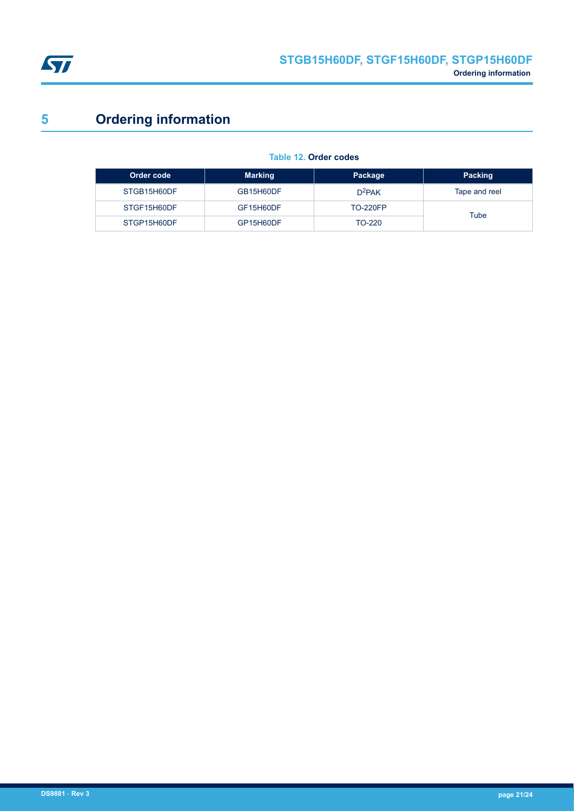<span id="page-20-0"></span>

# **5 Ordering information**

| Table 12. Order codes |  |  |
|-----------------------|--|--|
|-----------------------|--|--|

| Order code  | <b>Marking</b> | Package         | Packing       |
|-------------|----------------|-----------------|---------------|
| STGB15H60DF | GB15H60DF      | $D^2$ PAK       | Tape and reel |
| STGF15H60DF | GF15H60DF      | <b>TO-220FP</b> | Tube          |
| STGP15H60DF | GP15H60DF      | TO-220          |               |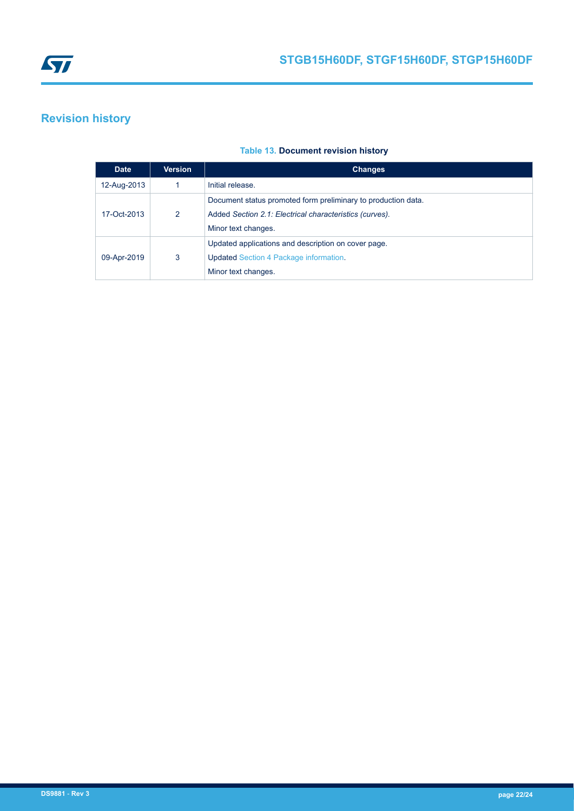<span id="page-21-0"></span>

### **Revision history**

#### **Table 13. Document revision history**

| <b>Date</b> | Version | <b>Changes</b>                                                                                                                                  |
|-------------|---------|-------------------------------------------------------------------------------------------------------------------------------------------------|
| 12-Aug-2013 |         | Initial release.                                                                                                                                |
| 17-Oct-2013 | 2       | Document status promoted form preliminary to production data.<br>Added Section 2.1: Electrical characteristics (curves).<br>Minor text changes. |
| 09-Apr-2019 | 3       | Updated applications and description on cover page.<br><b>Updated Section 4 Package information.</b><br>Minor text changes.                     |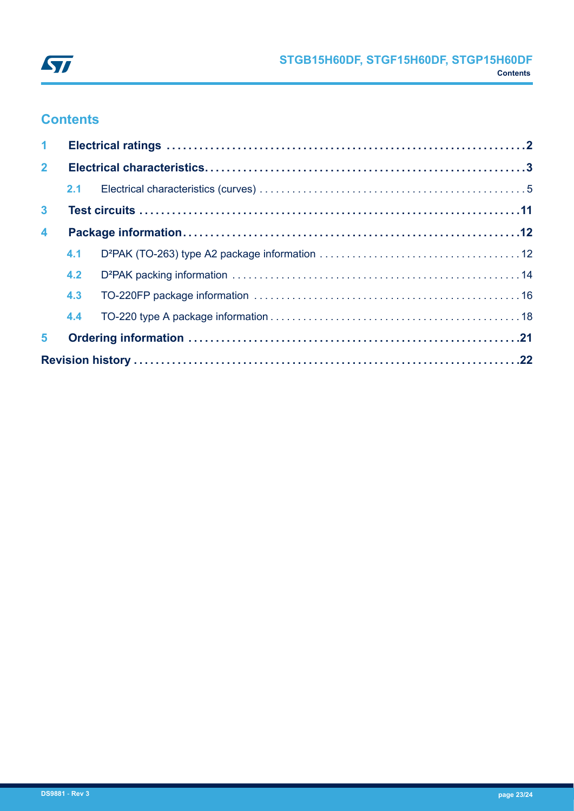

## **Contents**

| $\mathbf{1}$            |     |  |  |  |
|-------------------------|-----|--|--|--|
| 2 <sup>1</sup>          |     |  |  |  |
|                         |     |  |  |  |
| $\mathbf{3}$            |     |  |  |  |
| $\overline{\mathbf{4}}$ |     |  |  |  |
|                         | 4.1 |  |  |  |
|                         | 4.2 |  |  |  |
|                         | 4.3 |  |  |  |
|                         | 4.4 |  |  |  |
| 5                       |     |  |  |  |
|                         |     |  |  |  |